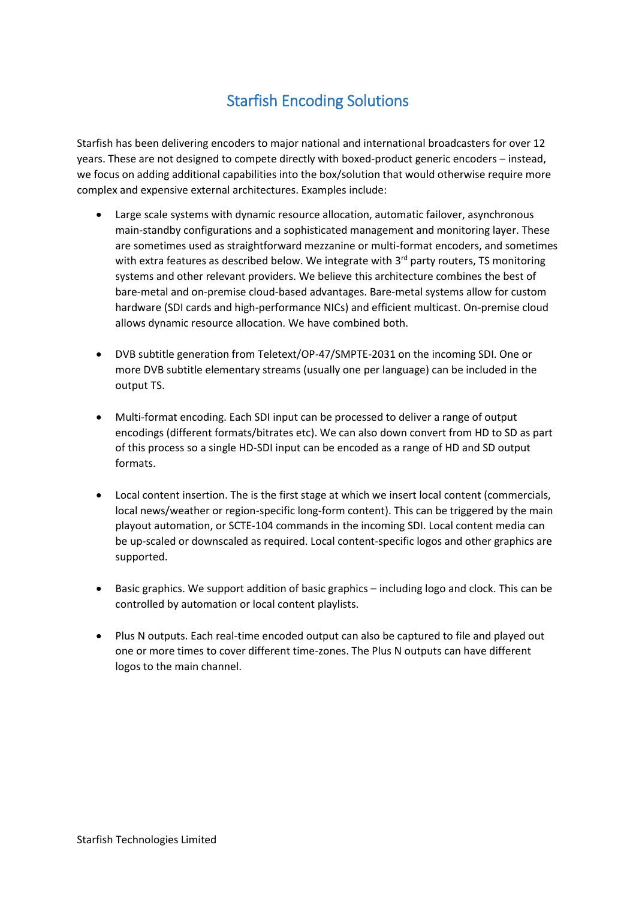## Starfish Encoding Solutions

Starfish has been delivering encoders to major national and international broadcasters for over 12 years. These are not designed to compete directly with boxed-product generic encoders – instead, we focus on adding additional capabilities into the box/solution that would otherwise require more complex and expensive external architectures. Examples include:

- Large scale systems with dynamic resource allocation, automatic failover, asynchronous main-standby configurations and a sophisticated management and monitoring layer. These are sometimes used as straightforward mezzanine or multi-format encoders, and sometimes with extra features as described below. We integrate with  $3<sup>rd</sup>$  party routers, TS monitoring systems and other relevant providers. We believe this architecture combines the best of bare-metal and on-premise cloud-based advantages. Bare-metal systems allow for custom hardware (SDI cards and high-performance NICs) and efficient multicast. On-premise cloud allows dynamic resource allocation. We have combined both.
- DVB subtitle generation from Teletext/OP-47/SMPTE-2031 on the incoming SDI. One or more DVB subtitle elementary streams (usually one per language) can be included in the output TS.
- Multi-format encoding. Each SDI input can be processed to deliver a range of output encodings (different formats/bitrates etc). We can also down convert from HD to SD as part of this process so a single HD-SDI input can be encoded as a range of HD and SD output formats.
- Local content insertion. The is the first stage at which we insert local content (commercials, local news/weather or region-specific long-form content). This can be triggered by the main playout automation, or SCTE-104 commands in the incoming SDI. Local content media can be up-scaled or downscaled as required. Local content-specific logos and other graphics are supported.
- Basic graphics. We support addition of basic graphics including logo and clock. This can be controlled by automation or local content playlists.
- Plus N outputs. Each real-time encoded output can also be captured to file and played out one or more times to cover different time-zones. The Plus N outputs can have different logos to the main channel.